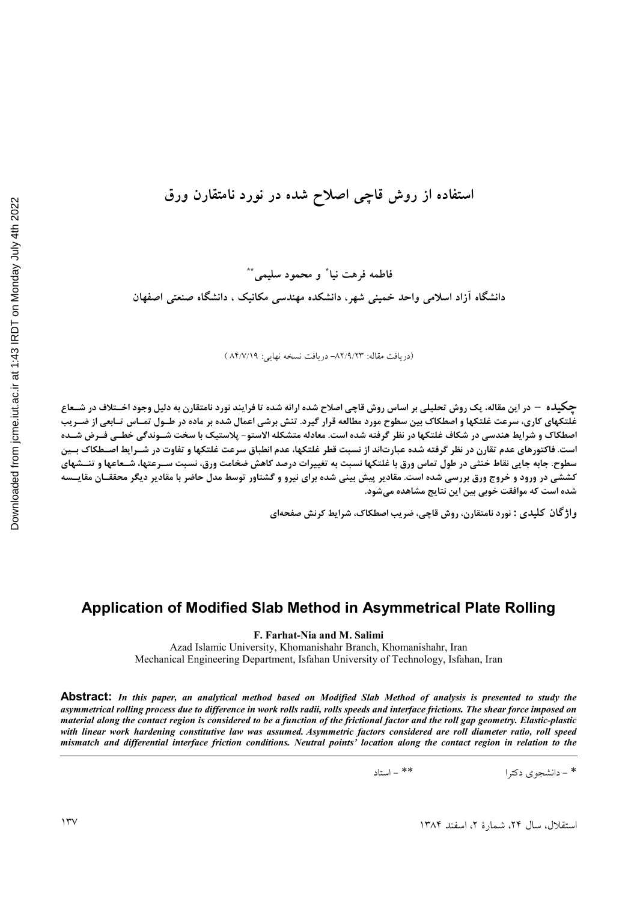# استفاده از روش قاچی اصلاح شده در نورد نامتقارن ورق

فاطمه فرهت نيا ٌ و محمود سليمي ٌ ٌ دانشگاه آزاد اسلامی واحد خمینی شهر، دانشکده مهندسی مکانیک ، دانشگاه صنعتی اصفهان

(دريافت مقاله: ٨٢/٩/٢٣- دريافت نسخه نهايي: ٨۴/٧/١٩ )

جکیده – در این مقاله، یک روش تحلیلی بر اساس روش قاچی اصلاح شده ارائه شده تا فرایند نورد نامتقارن به دلیل وجود اخــتلاف در شــعاع .<br>غلتکهای کاری، سرعت غلتکها و اصطکاک بین سطوح مورد مطالعه قرار گیرد. تنش برشی اعمال شده بر ماده در طــول تمــاس تــابعی از ضــریب اصطكاك و شرايط هندسي در شكاف غلتكها در نظر گرفته شده است. معادله متشكله الاستو- پلاستيك با سخت شــوندگي خطــي فــرض شــده است. فاکتورهای عدم تقارن در نظر گرفته شده عبارتاند از نسبت قطر غلتکها، عدم انطباق سرعت غلتکها و تفاوت در شــرايط اصــطکاک بــين سطوح. جابه جایی نقاط خنثی در طول تماس ورق با غلتکها نسبت به تغییرات درصد کاهش ضخامت ورق، نسبت سـرعتها، شـعاعها و تنــشهای **کششی در ورود و خروج ورق بررسی شده است.** مقادیر پیش بینی شده برای نیرو و گشتاور توسط مدل حاضر با مقادیر دیگر محققــان مقایــسه شده است که موافقت خوبی بین این نتایج مشاهده میشود.

واژگان کلیدی : نورد نامتقارن، روش قاچی، ضریب اصطکاک، شرایط کرنش صفحهای

## Application of Modified Slab Method in Asymmetrical Plate Rolling

F. Farhat-Nia and M. Salimi

Azad Islamic University, Khomanishahr Branch, Khomanishahr, Iran Mechanical Engineering Department, Isfahan University of Technology, Isfahan, Iran

Abstract: In this paper, an analytical method based on Modified Slab Method of analysis is presented to study the asymmetrical rolling process due to difference in work rolls radii, rolls speeds and interface frictions. The shear force imposed on material along the contact region is considered to be a function of the frictional factor and the roll gap geometry. Elastic-plastic with linear work hardening constitutive law was assumed. Asymmetric factors considered are roll diameter ratio, roll speed mismatch and differential interface friction conditions. Neutral points' location along the contact region in relation to the

> $\sqrt{2}$   $\sqrt{2}$   $\sqrt{2}$ \* - دانشجوی دکترا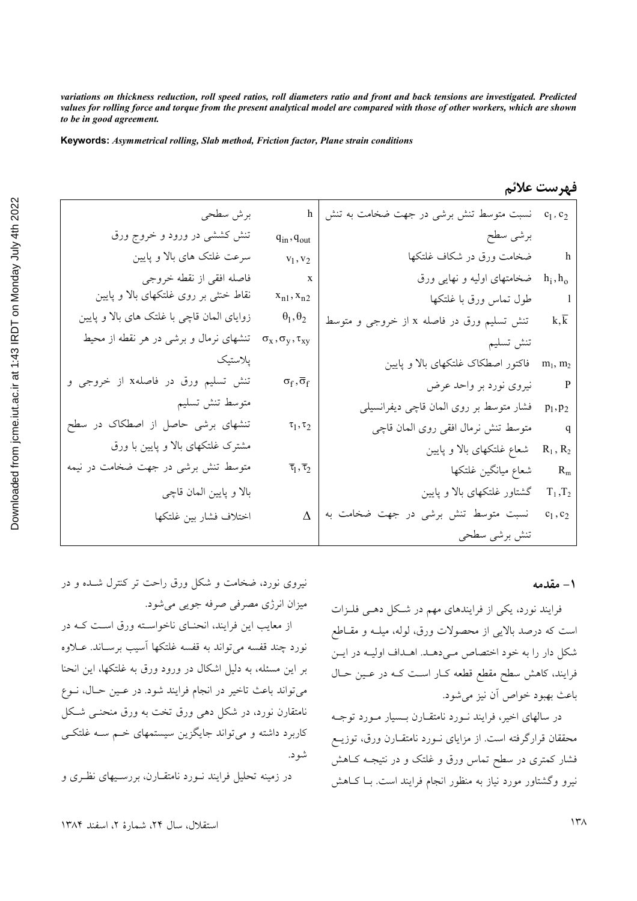*variations on thickness reduction, roll speed ratios, roll diameters ratio and front and back tensions are investigated. Predicted values for rolling force and torque from the present analytical model are compared with those of other workers, which are shown to be in good agreement.* 

**Keywords:** *Asymmetrical rolling, Slab method, Friction factor, Plane strain conditions*

|                   | h   نسبت متوسط تنش برشی در جهت ضخامت به تنش $c_1, c_2$     |                                        | برش سطحي                                                                               |
|-------------------|------------------------------------------------------------|----------------------------------------|----------------------------------------------------------------------------------------|
|                   | برشى سطح                                                   | $q_{in}$ , $q_{out}$                   | تنش کششی در ورود و خروج ورق                                                            |
|                   | h          ضخامت ورق در شکاف غلتکها                        | $v_1, v_2$                             | سرعت غلتک های بالا و پایین                                                             |
|                   | خمخامتهای اولیه و نهایی ورق h <sub>i</sub> ,h <sub>o</sub> | $\mathbf{x}$                           | فاصله افقى از نقطه خروجى                                                               |
|                   |                                                            | $x_{n1}, x_{n2}$                       | نقاط خنثی بر روی غلتکهای بالا و پایین                                                  |
| $k, \overline{k}$ | تنش تسليم ورق در فاصله x از خروجي و متوسط                  | $\theta_1, \theta_2$                   | زوایای المان قاچی با غلتک های بالا و پایین                                             |
|                   | تنش تسليم                                                  |                                        | تنشهای نرمال و برشی در هر نقطه از محیط $\sigma_{\rm x}, \sigma_{\rm y}, \tau_{\rm xy}$ |
| $m_1, m_2$        | فاکتور اصطکاک غلتکهای بالا و پایین                         |                                        | پلاستیک                                                                                |
|                   | P نیروی نورد بر واحد عرض                                   | $\sigma_f, \overline{\sigma}_f$        | تنش تسليم ورق در فاصلهx از خروجي و                                                     |
| $p_1, p_2$        | فشار متوسط بر روى المان قاچى ديفرانسيلى                    |                                        | متوسط تنش تسليم                                                                        |
| $\mathbf{q}$      | متوسط تنش نرمال افقى روى المان قاچى                        | $\tau_1, \tau_2$                       | تنشهای برشی حاصل از اصطکاک در سطح                                                      |
| $R_1$ , $R_2$     | شعاع غلتکهای بالا و پایین                                  |                                        | مشترک غلتکهای بالا و پایین با ورق                                                      |
| $R_m$             | شعاع ميانگين غلتكها                                        | $\overline{\tau}_1, \overline{\tau}_2$ | متوسط تنش برشی در جهت ضخامت در نیمه                                                    |
|                   | گشتاور غلتکهای بالا و پایین T1, $T_2$                      |                                        | بالا و پايين المان قاچي                                                                |
| $c_1, c_2$        | $\Delta$ نسبت متوسط تنش برشی در جهت ضخامت به               |                                        | اختلاف فشار بين غلتكها                                                                 |
|                   | تنش برشي سطحي                                              |                                        |                                                                                        |

### فهرست علائم

#### <mark>\ – مقدمه</mark>

فرایند نورد، یکی از فرایندهای مهم در شکل دهـی فلـزات است که درصد بالایی از محصولات ورق، لوله، میلــه و مقــاطع شکل دار را به خود اختصاص می دهـد. اهـداف اولیـه در ایـن فرایند، کاهش سطح مقطع قطعه کـار اسـت کـه در عـین حـال باعث بهبود خواص أن نيز مي شود.

در سالهای اخیر، فرایند نـورد نامتقــارن بــسیار مــورد توجــه محققان قرارگرفته است. از مزایای نــورد نامتقــارن ورق، توزیــع فشار کمتری در سطح تماس ورق و غلتک و در نتیجـه کــاهش نیرو وگشتاور مورد نیاز به منظور انجام فرایند است. بـا کـاهش

نیروی نورد، ضخامت و شکل ورق راحت تر کنترل شــده و در ميزان انرژي مصرفي صرفه جويبي مي شود.

از معایب این فرایند، انحنـای ناخواسـته ورق اسـت کـه در .<br>نورد چند قفسه مي تواند به قفسه غلتکها آسيب برسـاند. عــلاوه بر این مسئله، به دلیل اشکال در ورود ورق به غلتکها، این انحنا مي تواند باعث تاخير در انجام فرايند شود. در عـين حـال، نـوع نامتقارن نورد، در شکل ده<sub>ی</sub> ورق تخت به ورق منحنــی شــکل کاربرد داشته و میتواند جایگزین سیستمهای خسم سـه غلتکــی شو د.

در زمینه تحلیل فرایند نــورد نامتقــارن، بررســیهای نظــری و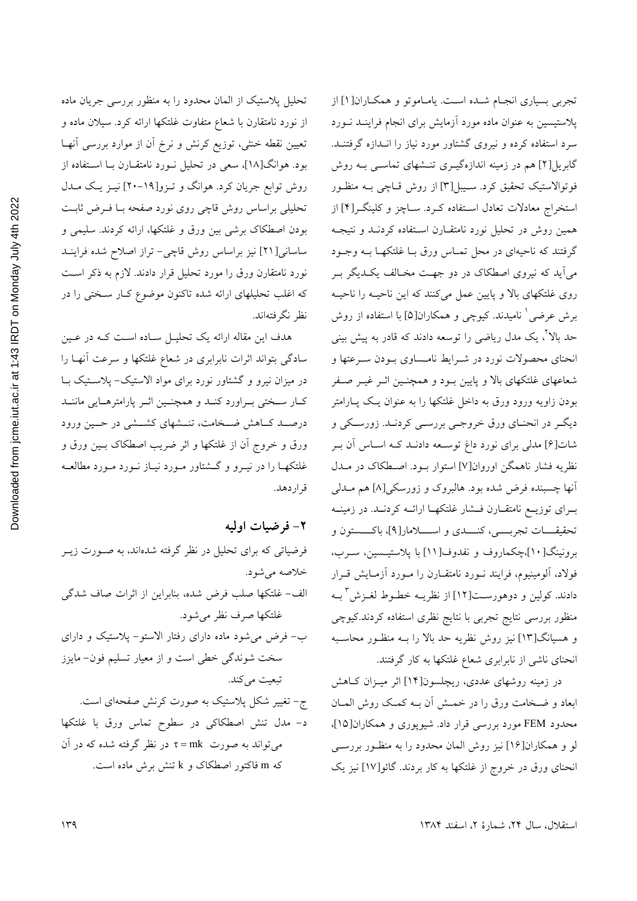Downloaded from jcme.jut.ac.ir at 1:43 IRDT on Monday July 4th 2022

تحلیل پلاستیک از المان محدود را به منظور بررسی جریان ماده از نورد نامتقارن با شعاع متفاوت غلتکها ارائه کرد. سیلان ماده و تعیین نقطه خنثی، توزیع کرنش و نرخ آن از موارد بررسی آنهـا بود. هوانگ[۱۸]، سعی در تحلیل نـورد نامتقـارن بـا اسـتفاده از روش توابع جریان کرد. هوانگ و تـزو[۱۹-۲۰] نیـز یـک مـدل تحلیلی براساس روش قاچی روی نورد صفحه بـا فـرض ثابـت بودن اصطكاك برشي بين ورق و غلتكها، ارائه كردند. سليمي و ساسانی[۲۱] نیز براساس روش قاچی- تراز اصلاح شده فراینـد نورد نامتقارن ورق را مورد تحلیل قرار دادند. لازم به ذکر است که اغلب تحلیلهای ارائه شده تاکنون موضوع کـار سـختی را در نظر نگرفتهاند.

هدف این مقاله ارائه یک تحلیـل سـاده اسـت کـه در عـین سادگی بتواند اثرات نابرابری در شعاع غلتکها و سرعت أنهـا را در میزان نیرو و گشتاور نورد برای مواد الاستیک- پلاستیک بـا كبار سبختي ببراورد كنبد و همچنين اثبر پارامترهبايي ماننيد درصــد كــاهش ضــخامت، تنــشهاى كشــشى در حــين ورود ورق و خروج اّن از غلتکها و اثر ضریب اصطکاک بـین ورق و غلتکهـا را در نيـرو و گــشتاور مـورد نيـاز نــورد مـورد مطالعــه قراردهد.

۲- فرضيات اوليه

فرضیاتی که برای تحلیل در نظر گرفته شدهاند، به صـورت زیــر خلاصه می شود. الف- غلتكها صلب فرض شده، بنابراين از اثرات صاف شدگي غلتكها صرف نظر مى شود. ب- فرض می شود ماده دارای رفتار الاستو- پلاستیک و دارای سخت شوندگی خطی است و از معیار تسلیم فون- مایزز تبعيت مي كند. ج- تغییر شکل پلاستیک به صورت کرنش صفحهای است. د- مدل تنش اصطکاکی در سطوح تماس ورق با غلتکها میتواند به صورت π=mk در نظر گرفته شده که در آن که m فاکتور اصطکاک و k تنش برش ماده است.

تجربي بسياري انجـام شـده اسـت. يامـاموتو و همكـاران[۱] از پلاستیسین به عنوان ماده مورد آزمایش برای انجام فراینــد نــورد سرد استفاده کرده و نیروی گشتاور مورد نیاز را انــدازه گرفتنــد. گابریل[۲] هم در زمینه اندازهگیـری تنـشهای تماسـی بــه روش فوتوالاستیک تحقیق کرد. سـیبل[۳] از روش قـاچی بـه منظـور استخراج معادلات تعادل استفاده کـرد. سـاچز و کلینگـر[۴] از همین روش در تحلیل نورد نامتقـارن اسـتفاده کردنــد و نتیجــه گرفتند که ناحیهای در محل تمـاس ورق بـا غلتکهـا بـه وجــود میآید که نیروی اصطکاک در دو جهت مخـالف یکـدیگر بـر روی غلتکهای بالا و پایین عمل میکنند که این ناحیـه را ناحیـه برش عرضی ٰ نامیدند. کیوچی و همکاران[۵] با استفاده از روش حد بالا"، یک مدل ریاضی را توسعه دادند که قادر به پیش بینی انحنای محصولات نورد در شـرایط نامـساوی بـودن سـرعتها و شعاعهای غلتکهای بالا و پایین بـود و همچنـین اثـر غیـر صـفر بودن زاویه ورود ورق به داخل غلتکها را به عنوان یک پـارامتر دیگـر در انحنـاي ورق خروجـي بررسـي كردنـد. زورسـكي و شات[۶] مدلی برای نورد داغ توسـعه دادنـد کـه اسـاس آن بـر نظریه فشار ناهمگن اوروان[۷] استوار بـود. اصـطکاک در مـدل أنها چسبنده فرض شده بود. هالبروک و زورسکی[۸] هم مــدلبی بـرای توزیــع نامتقــارن فــشار غلتکهــا ارائــه کردنــد. در زمینــه تحقيقــــات تجربـــــي، كنـــــدى و اســــــلامار[۹]، باكـــــستون و برونینگ[۱۰]،چکماروف و نفدوف[۱۱] با پلاستیـسین، سـرب، فولاد، آلومینیوم، فرایند نـورد نامتقـارن را مـورد آزمـایش قـرار دادند. كولين و دوهورسـت[١٢] از نظريــه خطــوط لغــزش ّ بــه منظور بررسی نتایج تجربی با نتایج نظری استفاده کردند.کیوچی و هسپانگ[۱۳] نیز روش نظریه حد بالا را بـه منظـور محاسـبه انحنای ناشی از نابرابری شعاع غلتکها به کار گرفتند.

در زمینه روشهای عددی، ریچلسون[۱۴] اثر میـزان کـاهش ابعاد و ضـخامت ورق را در خمــش آن بــه کمـک روش المــان محدود FEM مورد بررسی قرار داد. شیوپوری و همکاران[۱۵]، لو و همکاران[۱۶] نیز روش المان محدود را به منظـور بررسـی انحنای ورق در خروج از غلتکها به کار بردند. گائو[۱۷] نیز یک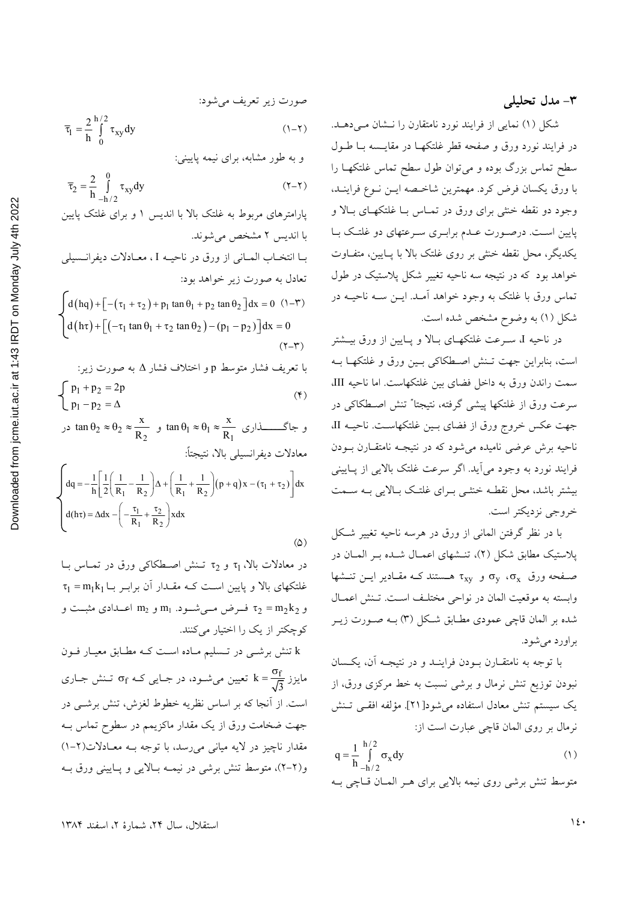شکل (۱) نمایی از فرایند نورد نامتقارن را نـشان مـی دهـد. در فرايند نورد ورق و صفحه قطر غلتكهـا در مقايــسه بــا طــول سطح تماس بزرگ بوده و میتوان طول سطح تماس غلتکهـا را با ورق يكسان فرض كرد. مهمترين شاخـصه ايــن نــوع فراينــد، وجود دو نقطه خنثى براى ورق در تمـاس بـا غلتكهـاى بـالا و پایین است. درصورت عـدم برابـری سـرعتهای دو غلتـک بـا يكديگر، محل نقطه خنثي بر روي غلتک بالا با پــايين، متفــاوت خواهد بود که در نتیجه سه ناحیه تغییر شکل پلاستیک در طول تماس ورق با غلتک به وجود خواهد آمـد. ايــن ســه ناحيــه در شکل (۱) به وضوح مشخص شده است.

در ناحیه I، سـرعت غلتکهـای بـالا و پـایین از ورق بیـشتر است، بنابراین جهت تـنش اصـطکاکی بـین ورق و غلتکهـا بـه سمت راندن ورق به داخل فضاى بين غلتكهاست. اما ناحيه III، سرعت ورق از غلتکها پیشی گرفته، نتیجتا ٌ تنش اصطکاکی در جهت عكس خروج ورق از فضاى بين غلتكهاست. ناحيـه II، ناحیه برش عرضی نامیده می شود که در نتیجـه نامتقـارن بـودن فرایند نورد به وجود می آید. اگر سرعت غلتک بالایی از پـایینی بیشتر باشد، محل نقطـه خنثـی بـرای غلتـک بـالایی بـه ســمت خروجي نزديكتر است.

با در نظر گرفتن المانی از ورق در هرسه ناحیه تغییر شکل پلاستیک مطابق شکل (۲)، تنـشهای اعمـال شـده بـر المـان در صفحه ورق  $\sigma_{\rm v}$  ،  $\sigma_{\rm v}$  و  $\tau_{\rm xv}$  هستند کـه مقـادير ايــن تنــشها وابسته به موقعیت المان در نواحی مختلف است. تـنش اعمـال شده بر المان قاچی عمودی مطـابق شـکل (۳) بـه صـورت زیـر براورد می شود.

با توجه به نامتقبارن ببودن فراینید و در نتیجیه آن، یکسان نبودن توزیع تنش نرمال و برشی نسبت به خط مرکزی ورق، از يك سيستم تنش معادل استفاده مي شود[٢١]. مؤلفه افقـي تـنش نرمال بر روى المان قاچى عبارت است از:

$$
q = \frac{1}{h} \int_{-h/2}^{h/2} \sigma_x dy
$$
 (1)

متوسط تنش برشی روی نیمه بالایی برای هـر المـان قـاچی بـه

6. 
$$
\overline{\tau}_1 = \frac{2}{h} \int_0^{h/2} \tau_{xy} dy
$$
  
\n $\overline{\tau}_2 = \frac{2}{h} \int_0^{0} \tau_{xy} dy$   
\n $\overline{\tau}_2 = \frac{2}{h} \int_0^{0} \tau_{xy} dy$   
\n $\overline{\tau}_2 = \frac{2}{h} \int_0^{0} \tau_{xy} dy$   
\n $\tau_{m+12}$   
\n7.  $\tau_{m+23}$   
\n7.  $\tau_{m+34}$   
\n7.  $\tau_{m+14}$   
\n8.  $\tau_{m+15}$   
\n9.  $\tau_{m+24}$   
\n10.  $\tau_{m+16}$   
\n11.  $\tau_{m+17}$   
\n12.  $\tau_{m+18}$   
\n13.  $\tau_{m+19}$   
\n14.  $\tau_{m+19}$   
\n15.  $\tau_{m+10}$   
\n16.  $\tau_{m+10}$   
\n17.  $\tau_{m+10}$   
\n18.  $\tau_{m+10}$   
\n19.  $\tau_{m+10}$   
\n10.  $\tau_{m+10}$   
\n11.  $\tau_{m+10}$   
\n12.  $\tau_{m+10}$   
\n13.  $\tau_{m+10}$   
\n14.  $\tau_{m+10}$   
\n15.  $\tau_{m+10}$   
\n16.  $\tau_{m+10}$   
\n17.  $\tau_{m+10}$   
\n18.  $\tau_{m+10}$   
\n19.  $\tau_{m+11}$   
\n10.  $\tau_{m+11}$   
\n11.  $\tau_{m+10}$   
\n12.  $\tau_{m+11}$   
\n13.  $\tau_{m+11}$   
\n14.  $\tau_{m+11}$   
\n15.  $\tau_{m+11}$   
\n17.  $\tau_{m+11}$   
\n18.  $\tau_{m+11}$   
\n19.  $\tau_{m+11}$ 

در معادلات بالا، <sub>T1</sub> و <sub>T2</sub> تـنش اصـطکاکم, ورق در تمـاس بـا  $\tau_1 = m_1 k_1$  خلتکهای بالا و پایین اسـت کـه مقــدار آن برابـر بــا و  $\tau_2 = m_2$  فسرض مسی شسود.  $m_1$  و  $m_2$  اعسدادی مثبست و کوچکتر از یک را اختیار میکنند.

 $(\Delta)$ 

k تنش برشبی در تـسلیم مـاده اسـت کـه مطـابق معیـار فـون مایزز  $\frac{\sigma_{\rm f}}{\sqrt{3}}$  تعیین میشود، در جـایی کـه  $\sigma_{\rm f}$  تـنش جـاری است. از آنجا که بر اساس نظریه خطوط لغزش، تنش برشـی در جهت ضخامت ورق از یک مقدار ماکزیمم در سطوح تماس بــه مقدار ناچیز در لایه میانی می رسد، با توجه بـه معـادلات(۲-۱) و(۲-۲)، متوسط تنش برشی در نیمـه بـالایی و پـایینی ورق بـه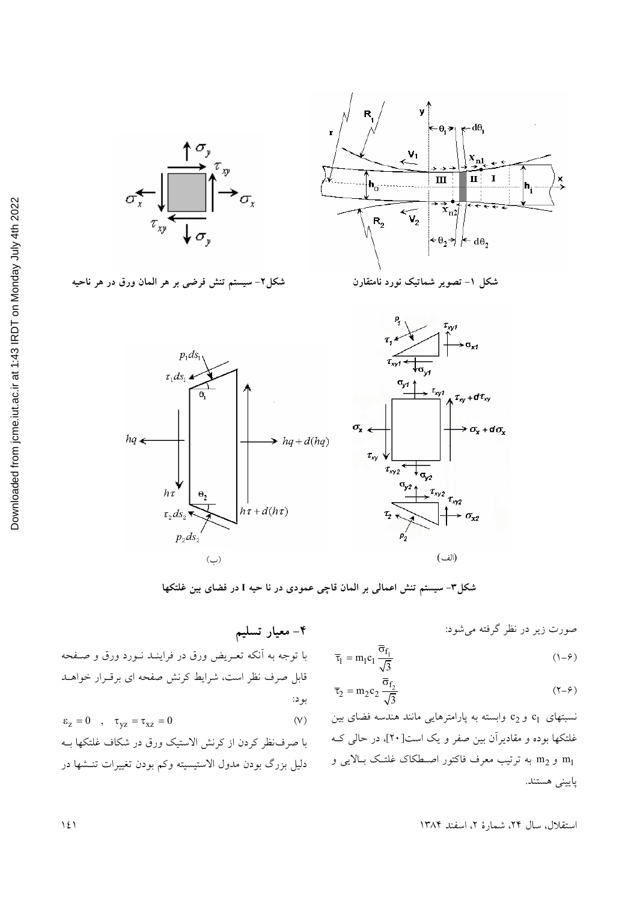

شکل۲– سیستم تنش فرضی بر هر المان ورق در هر ناحیه



شکل ۱– تصویر شماتیک نورد نامتقارن



شکل۳- سیستم تنش اعمالی بر المان قاچی عمودی در نا حیه I در فضای بین غلتکها

۴– معیار تسلیم

صورت زیر در نظر گرفته می شود:

$$
\overline{\tau}_1 = m_1 c_1 \frac{\overline{\sigma}_{f_1}}{\sqrt{3}} \tag{1-8}
$$

$$
\overline{\tau}_2 = m_2 c_2 \frac{\overline{\sigma}_{f_2}}{\sqrt{3}} \tag{7-8}
$$

نسبتهای c و c وابسته به پارامترهایی مانند هندسه فضای بین غلتکها بوده و مقادیرآن بین صفر و یک است[۲۰]، در حالی کـه m1 و m2 به ترتیب معرف فاکتور اصطکاک غلتک بـالایی و پاييني هستند.

با توجه به اَنکه تعـریض ورق در فراینـد نــورد ورق و صــفحه .<br>قابل صرف نظر است، شرایط کرنش صفحه ای برقــرار خواهــد بود:

$$
\epsilon_z = 0 \quad , \quad \tau_{yz} = \tau_{xz} = 0 \tag{V}
$$

با صرف نظر كردن از كرنش الاستيك ورق در شكاف غلتكها بـه دلیل بزرگ بودن مدول الاستیسیته وکم بودن تغییرات تنـشها در

استقلال، سال ٢۴، شمارهٔ ٢، اسفند ١٣٨۴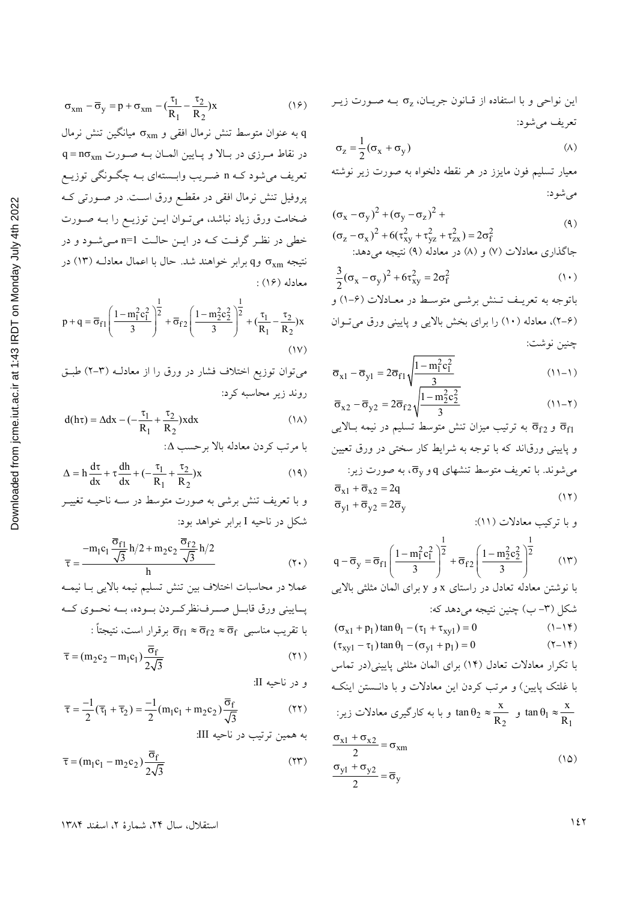$$
\sigma_{xm} - \overline{\sigma}_y = p + \sigma_{xm} - (\frac{\tau_1}{R_1} - \frac{\tau_2}{R_2})x
$$
 (19)

به عنوان متوسط تنش نرمال افقی و  $\sigma_\text{xm}$  میانگین تنش نرمال  $q = n\sigma_{xm}$  در نقاط مرزی در بالا و پایین المان به صورت تعریف میشود کـه n ضـریب وابــستهای بــه چگــونگی توزیــع پروفیل تنش نرمال افقی در مقطـع ورق اسـت. در صـورتـی کـه ضخامت ورق زیاد نباشد، میتوان ایــن توزیــع را بــه صــورت خطی در نظر گرفت کـه در ایـن حالـت n=1 مـی شـود و در نتيجه  $\sigma_{xm}$  وq برابر خواهند شد. حال با اعمال معادلـه (١٣) در معادله (۱۶):

$$
p + q = \overline{\sigma}_{f1} \left( \frac{1 - m_1^2 c_1^2}{3} \right)^{\frac{1}{2}} + \overline{\sigma}_{f2} \left( \frac{1 - m_2^2 c_2^2}{3} \right)^{\frac{1}{2}} + (\frac{\tau_1}{R_1} - \frac{\tau_2}{R_2}) x
$$
\n
$$
(1 \vee)
$$

می توان توزیع اختلاف فشار در ورق را از معادلـه (۳-۲) طبـق روند زير محاسبه كرد:

$$
d(h\tau) = \Delta dx - \left(-\frac{\tau_1}{R_1} + \frac{\tau_2}{R_2}\right) x dx \tag{1A}
$$

$$
\Delta = h \frac{d\tau}{dx} + \tau \frac{dh}{dx} + \left(-\frac{\tau_1}{R_1} + \frac{\tau_2}{R_2}\right) x \tag{14}
$$

و با تعریف تنش برشی به صورت متوسط در سـه ناحیـه تغییـر شکل در ناحیه I برابر خواهد بود:

$$
\overline{\tau} = \frac{-m_1 c_1 \frac{\overline{\sigma}_{f1}}{\sqrt{3}} h/2 + m_2 c_2 \frac{\overline{\sigma}_{f2}}{\sqrt{3}} h/2}{h}
$$
 (7.)

عملاً در محاسبات اختلاف بين تنش تسليم نيمه بالايي بــا نيمــه يساييني ورق قابسل صبرف نظركبردن بسوده، بسه نحسوي كسه با تقريب مناسبي  $\overline{\sigma}_{f1} \approx \overline{\sigma}_{f2} \approx \overline{\sigma}_{f}$  برقرار است، نتيجتاً :

$$
\bar{\tau} = (m_2 c_2 - m_1 c_1) \frac{G_f}{2\sqrt{3}}
$$
 (1)

$$
\overline{\tau} = \frac{-1}{2}(\overline{\tau}_1 + \overline{\tau}_2) = \frac{-1}{2}(m_1c_1 + m_2c_2)\frac{\sigma_f}{\sqrt{3}}\tag{YY}
$$
\n
$$
: III \text{ and } \overline{\tau}_1 = \frac{\sigma_f}{\sqrt{3}}
$$

$$
\overline{\tau} = (m_1 c_1 - m_2 c_2) \frac{\overline{\sigma}_f}{2\sqrt{3}}
$$
 (17)

این نواحی و با استفاده از قـانون جریــان،  $\sigma_{\rm z}$  بــه صــورت زیــر تعريف مي شود:

$$
\sigma_z = \frac{1}{2} (\sigma_x + \sigma_y) \tag{A}
$$

معیار تسلیم فون مایزز در هر نقطه دلخواه به صورت زیر نوشته مے شو د:

$$
(\sigma_x - \sigma_y)^2 + (\sigma_y - \sigma_z)^2 +
$$
  
\n
$$
(\sigma_z - \sigma_x)^2 + 6(\tau_{xy}^2 + \tau_{yz}^2 + \tau_{zx}^2) = 2\sigma_f^2
$$
\n(4)

جاگذاری معادلات (۷) و (۸) در معادله (۹) نتیجه می دهد:

$$
\frac{3}{2}(\sigma_x - \sigma_y)^2 + 6\tau_{xy}^2 = 2\sigma_f^2 \tag{1}
$$

باتوجه به تعریـف تـنش برشــی متوسـط در معــادلات (۶-۱) و (۲-۶)، معادله (۱۰) را برای بخش بالایی و پایینی ورق میتوان چنين نوشت:

$$
\overline{\sigma}_{x1} - \overline{\sigma}_{y1} = 2\overline{\sigma}_{f1}\sqrt{\frac{1 - m_1^2 c_1^2}{3}}\tag{11-1}
$$

$$
\overline{\sigma}_{x2} - \overline{\sigma}_{y2} = 2\overline{\sigma}_{f2} \sqrt{\frac{1 - m_2^2 c_2^2}{3}} \tag{11-5}
$$

و  $\overline{\sigma}_{f2}$  به ترتیب میزان تنش متوسط تسلیم در نیمه بالایی  $\overline{\sigma}_{f1}$ و پایینی ورق|ند که با توجه به شرایط کار سختی در ورق تعیین  $\cdot$ میشوند. با تعریف متوسط تنشهای q و  $\overline{\sigma}_{\rm v}$ ، به صورت زیر  $\overline{\sigma}_{x1} + \overline{\sigma}_{x2} = 2q$  $(11)$  $\overline{\sigma}_{v1} + \overline{\sigma}_{v2} = 2\overline{\sigma}_{v}$ 

$$
q - \overline{\sigma}_{y} = \overline{\sigma}_{f1} \left( \frac{1 - m_{1}^{2} c_{1}^{2}}{3} \right)^{\frac{1}{2}} + \overline{\sigma}_{f2} \left( \frac{1 - m_{2}^{2} c_{2}^{2}}{3} \right)^{\frac{1}{2}}
$$
(17)

با نوشتن معادله تعادل در راستای x و y برای المان مثلثی بالایی شکل (۳– ب) چنین نتیجه میدهد که:  $(\sigma_{x1} + p_1) \tan \theta_1 - (\tau_1 + \tau_{xv1}) = 0$  $(1-1)$  $(\tau_{xy1} - \tau_1) \tan \theta_1 - (\sigma_{y1} + p_1) = 0$  $(Y-1Y)$ 

ا تکرار معادلات تعادل (۱۴) برای المان مثلثی پایینی(در تماس  
با غلتک پایین) و مرتب کردن این معادلات و با دانستن اینکه  
tan 
$$
\theta_1 \approx \frac{x}{R_1}
$$
 tan  $\theta_2 \approx \frac{x}{R_2}$  tan  $\theta_1 \approx \frac{x}{R_1}$   

$$
\frac{\sigma_{x1} + \sigma_{x2}}{2} = \sigma_{xm}
$$

$$
\frac{\sigma_{y1} + \sigma_{y2}}{2} = \overline{\sigma}_y
$$
 (10)

 $127$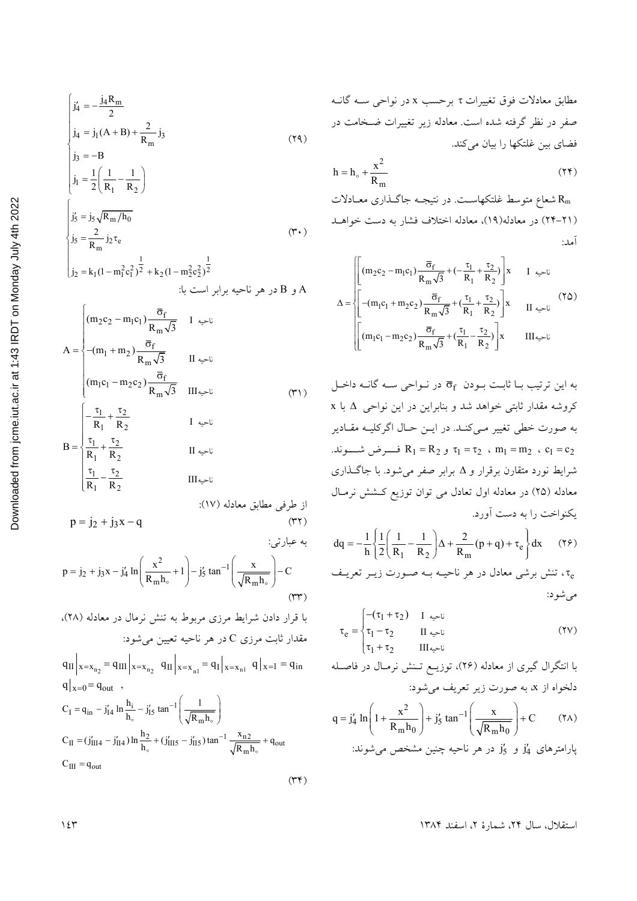$$
\begin{cases}\nj_4' = -\frac{j_4 R_m}{2} \\
j_4 = j_1 (A + B) + \frac{2}{R_m} j_3 \\
j_3 = -B\n\end{cases}
$$
\n(74)

$$
\begin{cases}\nj_1 = \frac{1}{2} \left( \frac{1}{R_1} - \frac{1}{R_2} \right) \\
j_5' = j_5 \sqrt{R_m / h_0} \\
j_5 = \frac{2}{R_m} j_2 \tau_e\n\end{cases} \tag{7.}
$$

$$
\begin{cases}\n\text{j}_2 = \text{k}_1 (1 - m_1^2 c_1^2)^{\frac{1}{2}} + \text{k}_2 (1 - m_2^2 c_2^2)^{\frac{1}{2}} \\
\text{A}\n\end{cases}
$$

$$
A = \begin{cases} (m_2c_2 - m_1c_1) \frac{\sigma_f}{R_m \sqrt{3}} & I \Leftrightarrow i \\ (m_1 + m_2) \frac{\overline{\sigma}_f}{R_m \sqrt{3}} & II \Leftrightarrow i \\ (m_1c_1 - m_2c_2) \frac{\overline{\sigma}_f}{R_m \sqrt{3}} & III \Leftrightarrow i \\ (m_1c_1 - m_2c_2) \frac{\overline{\sigma}_f}{R_m \sqrt{3}} & III \Leftrightarrow i \\ B = \begin{cases} -\frac{\tau_1}{R_1} + \frac{\tau_2}{R_2} & I \Leftrightarrow i \\ \frac{\tau_1}{R_1} + \frac{\tau_2}{R_2} & II \Leftrightarrow i \\ \frac{\tau_1}{R_1} - \frac{\tau_2}{R_2} & III \Leftrightarrow i \end{cases} \end{cases} (71)
$$

$$
p = j_2 + j_3 x - j'_4 \ln \left( \frac{x^2}{R_m h_\circ} + 1 \right) - j'_5 \tan^{-1} \left( \frac{x}{\sqrt{R_m h_\circ}} \right) - C
$$
\n(74)

با قرار دادن شرایط مرزی مربوط به تنش نرمال در معادله (۲۸)، مقدار ثابت مرزي C در هر ناحيه تعيين مي شود:

 $q_{II}\Big|_{x=x_{n_2}} = q_{III}\Big|_{x=x_{n_2}} q_{II}\Big|_{x=x_{n_1}} = q_{I}\Big|_{x=x_{n_1}} q\Big|_{x=1} = q_{in}$  $q|_{x=0} = q_{out}$ ,

$$
C_{I} = q_{in} - j'_{I4} \ln \frac{h_{i}}{h_{o}} - j'_{I5} \tan^{-1} \left( \frac{1}{\sqrt{R_{m} h_{o}}} \right)
$$
  

$$
C_{II} = (j'_{II4} - j'_{II4}) \ln \frac{h_{2}}{h_{o}} + (j'_{III5} - j'_{II5}) \tan^{-1} \frac{x_{n2}}{\sqrt{R_{m} h_{o}}} + q_{out}
$$
  

$$
C_{III} = q_{out}
$$

$$
h = h_{\circ} + \frac{x^2}{R_m} \tag{77}
$$

شعاع متوسط غلتکهاسـت. در نتیجـه جاگــذاری معــادلات (٢١-٢٢) در معادله(١٩)، معادله اختلاف فشار به دست خواهـد آمد:

$$
\Delta = \sqrt{\left[ (m_2 c_2 - m_1 c_1) \frac{\overline{\sigma}_f}{R_m \sqrt{3}} + (-\frac{\tau_1}{R_1} + \frac{\tau_2}{R_2}) \right] x \qquad I \quad \text{and} \quad \Delta = \sqrt{\left[ - (m_1 c_1 + m_2 c_2) \frac{\overline{\sigma}_f}{R_m \sqrt{3}} + (\frac{\tau_1}{R_1} + \frac{\tau_2}{R_2}) \right] x \qquad II \quad \text{and} \quad \Delta = \sqrt{\left[ (m_1 c_1 - m_2 c_2) \frac{\overline{\sigma}_f}{R_m \sqrt{3}} + (\frac{\tau_1}{R_1} - \frac{\tau_2}{R_2}) \right] x \qquad III \quad \text{and} \quad \Delta = \sqrt{\left[ (m_1 c_1 - m_2 c_2) \frac{\overline{\sigma}_f}{R_m \sqrt{3}} + (\frac{\tau_1}{R_1} - \frac{\tau_2}{R_2}) \right] x \qquad III \quad \text{and} \quad \Delta = \sqrt{\left[ (m_1 c_1 - m_2 c_2) \frac{\overline{\sigma}_f}{R_m \sqrt{3}} + (\frac{\tau_1}{R_1} - \frac{\tau_2}{R_2}) \right] x \qquad \text{and} \quad \Delta = \sqrt{\left[ (m_1 c_1 - m_2 c_2) \frac{\overline{\sigma}_f}{R_m \sqrt{3}} + (\frac{\tau_1}{R_1} - \frac{\tau_2}{R_2}) \right] x \qquad \text{and} \quad \Delta = \sqrt{\left[ (m_1 c_1 - m_2 c_2) \frac{\overline{\sigma}_f}{R_m \sqrt{3}} + (\frac{\tau_1}{R_1} - \frac{\tau_2}{R_2}) \right] x \qquad \text{and} \quad \Delta = \sqrt{\left[ (m_1 c_1 - m_2 c_2) \frac{\overline{\sigma}_f}{R_m \sqrt{3}} + (\frac{\tau_1}{R_1} - \frac{\tau_2}{R_2}) \right] x \qquad \text{and} \quad \Delta = \sqrt{\left[ (m_1 c_1 - m_2 c_2) \frac{\overline{\sigma}_f}{R_m \sqrt{3}} + (\frac{\tau_1}{R_1} - \frac{\tau_2}{R_2}) \right] x \qquad \text{and} \quad \Delta = \sqrt{\left[ (m_1 c_1 - m_2 c_2) \frac{\overline{\sigma}_f}{R_m \sqrt{3}} + (\frac{\
$$

به این ترتیب بـا ثابـت بـودن  $\bar{\sigma}_{\rm f}$  در نـواحی سـه گانـه داخـل كروشه مقدار ثابتى خواهد شد و بنابراين در اين نواحى Δ با x به صورت خطی تغییر مـیکنـد. در ایــن حــال اگرکلیــه مقــادیر  $R_1 = R_2$  و R<sub>1</sub> = R<sub>2</sub> فــــرض شــــوند.  $m_1 = m_2$  ، C<sub>1</sub> = C<sub>2</sub> شرایط نورد متقارن برقرار و ۵ برابر صفر میشود. با جاگـذاری معادله (۲۵) در معادله اول تعادل می توان توزیع کـشش نرمـال يكنواخت را به دست آورد.

$$
dq = -\frac{1}{h} \left\{ \frac{1}{2} \left( \frac{1}{R_1} - \frac{1}{R_2} \right) \Delta + \frac{2}{R_m} (p+q) + \tau_e \right\} dx \qquad (75)
$$

$$
\tau_e = \begin{cases}\n-(\tau_1 + \tau_2) & I \quad \text{if} \\
\tau_1 - \tau_2 & II \quad \text{if} \\
\tau_1 + \tau_2 & III \quad \text{if} \\
\end{cases}
$$
\n(7V)

با انتگرال گیری از معادله (۲۶)، توزیــع تـنش نرمــال در فاصــله دلخواه از x، به صورت زير تعريف مي شود:

$$
q = j_4' \ln\left(1 + \frac{x^2}{R_m h_0}\right) + j_5' \tan^{-1}\left(\frac{x}{\sqrt{R_m h_0}}\right) + C \qquad (\text{YA})
$$

ارامترهای 
$$
ji
$$
و  $ji$  در هر ناحیه چنین مشخص میشوند:

 $(\Upsilon \Upsilon)$ 

استقلال، سال ٢۴، شمارة ٢، اسفند ١٣٨۴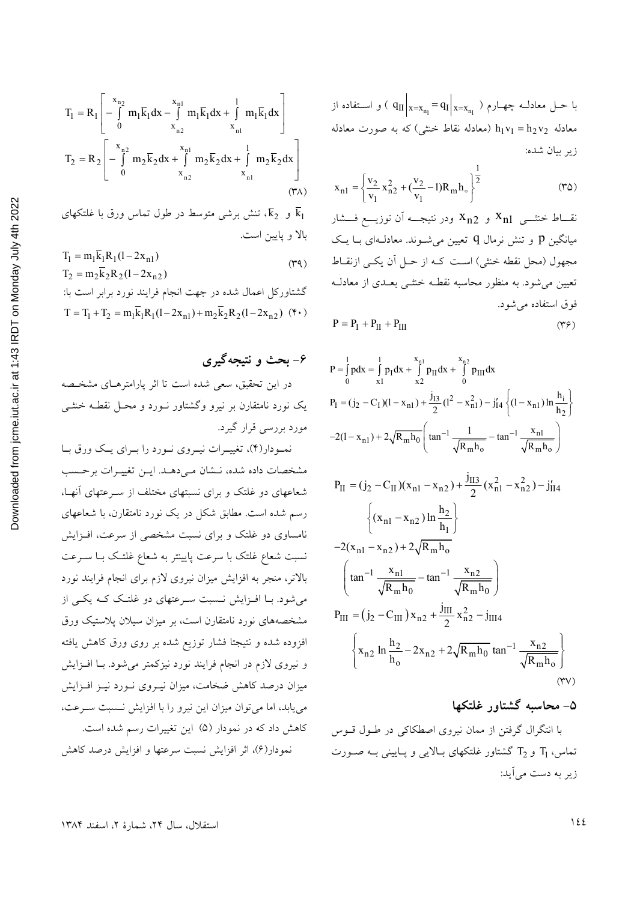$$
x_{n1} = \left\{ \frac{v_2}{v_1} x_{n2}^2 + (\frac{v_2}{v_1} - 1) R_m h_o \right\}^{\frac{1}{2}}
$$
 (72)

نقــاط خنثـــی  $x_{n1}$  و  $x_{n2}$  ودر نتیجـــه آن توزیــــع فـــشار میانگین p و تنش نرمال q تعیین می شـوند. معادلـهای بــا یــک مجھول (محل نقطه خنثی) است کـه از حـل آن یکـی ازنقـاط تعیین می شود. به منظور محاسبه نقطـه خنثـبی بعـدی از معادلـه فوق استفاده می شود.

$$
P = P_{I} + P_{II} + P_{III}
$$
 (Y9)

$$
P = \int_{0}^{1} pdx = \int_{x1}^{1} p_1 dx + \int_{x2}^{x_{n1}} p_{II} dx + \int_{0}^{x_{n2}} p_{III} dx
$$
  
\n
$$
P_I = (j_2 - C_I)(1 - x_{n1}) + \frac{j_{I3}}{2}(1^2 - x_{n1}^2) - j'_{I4} \left\{ (1 - x_{n1}) \ln \frac{h_i}{h_2} \right\}
$$
  
\n
$$
-2(1 - x_{n1}) + 2\sqrt{R_m h_0} \left( \tan^{-1} \frac{1}{\sqrt{R_m h_0}} - \tan^{-1} \frac{x_{n1}}{\sqrt{R_m h_0}} \right)
$$

$$
P_{II} = (j_2 - C_{II})(x_{n1} - x_{n2}) + \frac{J_{II3}}{2}(x_{n1}^2 - x_{n2}^2) - j'_{II4}
$$
  

$$
\left\{ (x_{n1} - x_{n2}) \ln \frac{h_2}{h_1} \right\}
$$
  

$$
-2(x_{n1} - x_{n2}) + 2\sqrt{R_m h_0}
$$
  

$$
\left( \tan^{-1} \frac{x_{n1}}{\sqrt{R_m h_0}} - \tan^{-1} \frac{x_{n2}}{\sqrt{R_m h_0}} \right)
$$
  

$$
P_{III} = (j_2 - C_{III}) x_{n2} + \frac{j_{III}}{2} x_{n2}^2 - j_{III4}
$$
  

$$
\left\{ x_{n2} \ln \frac{h_2}{h_0} - 2x_{n2} + 2\sqrt{R_m h_0} \tan^{-1} \frac{x_{n2}}{\sqrt{R_m h_0}} \right\}
$$
 (TV)

### ۵– محاسبه گشتاور غلتکها

با انتگرال گرفتن از ممان نیروی اصطکاکی در طـول قـوس تماس،  $T_1$  و  $T_2$  گشتاور غلتکهای بـالایی و پـایینی بـه صـورت زیر به دست می آید:

$$
T_{1} = R_{1} \left[ -\int_{0}^{x_{n_{2}}} m_{1} \overline{k}_{1} dx - \int_{x_{n_{2}}}^{x_{n_{1}}} m_{1} \overline{k}_{1} dx + \int_{x_{n_{1}}}^{1} m_{1} \overline{k}_{1} dx \right]
$$
  
\n
$$
T_{2} = R_{2} \left[ -\int_{0}^{x_{n_{2}}} m_{2} \overline{k}_{2} dx + \int_{x_{n_{2}}}^{1} m_{2} \overline{k}_{2} dx + \int_{x_{n_{1}}}^{1} m_{2} \overline{k}_{2} dx \right]
$$
  
\n
$$
(\tau \wedge)
$$
  
\n
$$
\sigma \wedge \tau
$$
  
\n
$$
T_{1} = m_{1} \overline{k}_{1} R_{1} (1 - 2x_{n_{1}})
$$
  
\n
$$
T_{2} = m_{2} \overline{k}_{2} R_{2} (1 - 2x_{n_{2}})
$$
  
\n
$$
T_{3} = m_{3} \overline{k}_{1} R_{3} (1 - 2x_{n_{1}})
$$
  
\n
$$
T_{4} = m_{4} \overline{k}_{1} R_{1} (1 - 2x_{n_{1}})
$$
  
\n
$$
T_{5} = m_{5} \overline{k}_{2} R_{2} (1 - 2x_{n_{2}})
$$
  
\n
$$
T_{6} = 0
$$
  
\n
$$
T_{7} = m_{6} \overline{k}_{1} R_{1} (1 - 2x_{n_{1}})
$$
  
\n
$$
T_{8} = 0
$$
  
\n
$$
T_{9} = 0
$$
  
\n
$$
T_{10} = 0
$$
  
\n
$$
T_{11} = m_{1} \overline{k}_{1} R_{1} (1 - 2x_{n_{1}})
$$
  
\n
$$
T_{12} = m_{2} \overline{k}_{2} R_{2} (1 - 2x_{n_{2}})
$$

$$
L = L^2 + 2k
$$
کشتاور کل اعمال شده در جهت انجام فرایند نورد برابر است با:  

$$
T = T_1 + T_2 = m_1\bar{k}_1R_1(1 - 2x_{n1}) + m_2\bar{k}_2R_2(1 - 2x_{n2})
$$
 (\*)

# ۶- بحث و نتیجهگیری

در این تحقیق، سعی شده است تا اثر پارامترهـای مشخـصه یک نورد نامتقارن بر نیرو وگشتاور نـورد و محـل نقطـه خنثـی مورد بررسی قرار گیرد.

نمبودار(۴)، تغییـرات نیـروی نـورد را بـرای یـک ورق بـا مشخصات داده شده، نـشان مـىدهـد. ايـن تغييـرات برحـسب شعاعهای دو غلتک و برای نسبتهای مختلف از سـرعتهای آنهـا، رسم شده است. مطابق شکل در یک نورد نامتقارن، با شعاعهای نامساوی دو غلتک و برای نسبت مشخصی از سرعت، افـزایش نسبت شعاع غلتک با سرعت پایینتر به شعاع غلتک بـا سـرعت بالاتر، منجر به افزایش میزان نیروی لازم برای انجام فرایند نورد میشود. بـا افــزایش نــسبت ســرعتهای دو غلتــک کــه یکــی از مشخصههای نورد نامتقارن است، بر میزان سیلان پلاستیک ورق افزوده شده و نتيجتا فشار توزيع شده بر روى ورق كاهش يافته و نیروی لازم در انجام فرایند نورد نیزکمتر میشود. بـا افـزایش میزان درصد کاهش ضخامت، میزان نیـروی نـورد نیـز افـزایش می یابد، اما می توان میزان این نیرو را با افزایش نسبت سـرعت، کاهش داد که در نمودار (۵) این تغییرات رسم شده است. نمودار(۶)، اثر افزایش نسبت سرعتها و افزایش درصد کاهش

استقلال، سال ٢۴، شمارهٔ ٢، اسفند ١٣٨۴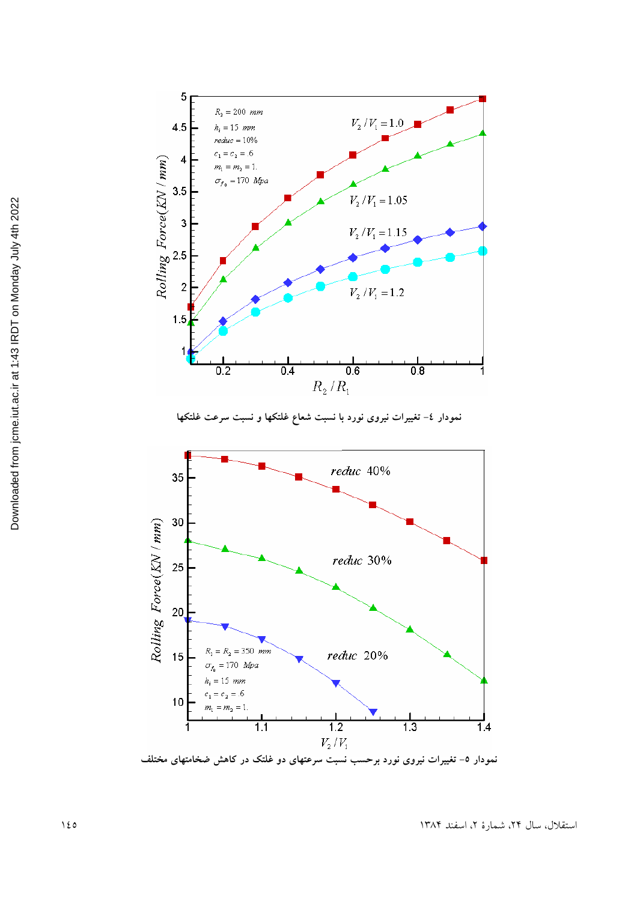

نمودار ۵– تغییرات نیروی نورد برحسب نسبت سرعتهای دو غلتک در کاهش ضخامتهای مختلف

 $\overline{1.1}$ 

 $\frac{1}{1.2}$ 

 $V_{2}/V_{1}$ 

استقلال، سال ۲۴، شمارهٔ ۲، اسفند ۱۳۸۴

 $\overline{1}4$ 

 $\frac{1}{1.3}$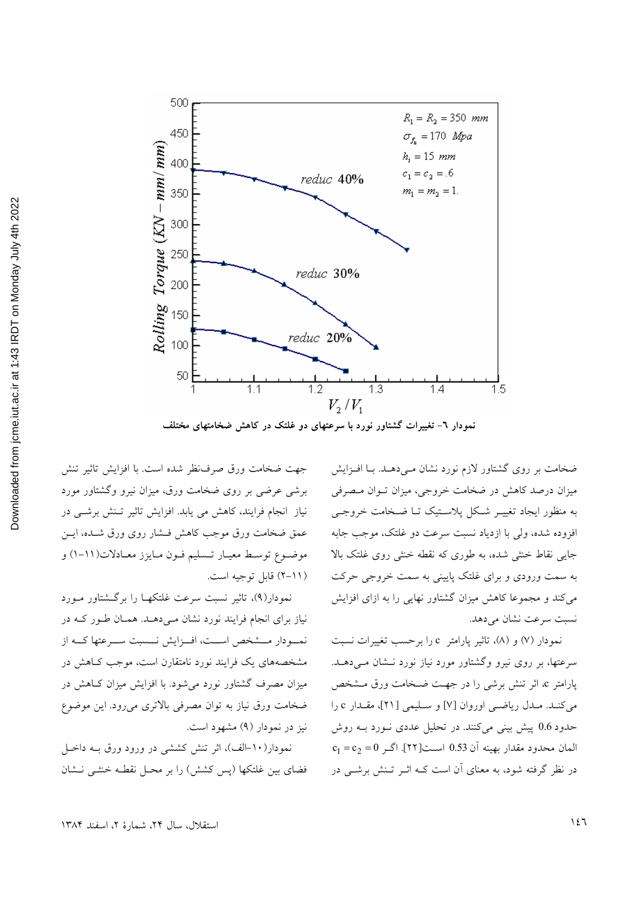

ضخامت بر روی گشتاور لازم نورد نشان مـیٖدهــد. بــا افــزایش میزان درصد کاهش در ضخامت خروجی، میزان تـوان مـصرفی به منظور ایجاد تغییـر شـکل پلاسـتیک تـا ضـخامت خروجـی افزوده شده، ولي با ازدياد نسبت سرعت دو غلتک، موجب جابه جایی نقاط خنثی شده، به طوری که نقطه خنثی روی غلتک بالا به سمت ورودی و برای غلتک پایینی به سمت خروجی حرکت می کند و مجموعا کاهش میزان گشتاور نهایی را به ازای افزایش نسبت سرعت نشان می دهد.

نمودار (۷) و (۸)، تاثیر پارامتر c را برحسب تغییرات نسبت سرعتها، بر روی نیرو وگشتاور مورد نیاز نورد نــشان مــی دهــد. پارامتر c، اثر تنش برشی را در جهت ضخامت ورق مشخص می کنـد. مـدل ریاضـی اوروان [۷] و سـلیمی [۲۱]، مقـدار c را حدود 0.6 پیش بینی میکنند. در تحلیل عددی نـورد بـه روش  $c_1 = c_2 = 0$  المان محدود مقدار بهينه آن 0.53 است[٢٢]. اگر 0=  $c_1$ در نظر گرفته شود، به معنای آن است کــه اثــر تــنش برشــی در

جهت ضخامت ورق صرفنظر شده است. با افزايش تاثير تنش برشی عرضی بر روی ضخامت ورق، میزان نیرو وگشتاور مورد نیاز انجام فرایند، کاهش می یابد. افزایش تاثیر تـنش برشـی در عمق ضخامت ورق موجب كاهش فستار روى ورق شـده، ايـن موضـوع توسـط معيـار تـسليم فـون مـايزز معـادلات(١١-١) و (١١-٢) قابل توجيه است.

نمودار(۹)، تاثیر نسبت سرعت غلتکهـا را برگـشتاور مـورد نیاز برای انجام فرایند نورد نشان مـیدهـد. همـان طـور کـه در نمسودار مسشخص است، اف زایش نسست سـرعتها کــه از مشخصههای یک فرایند نورد نامتقارن است، موجب کـاهش در میزان مصرف گشتاور نورد می شود. با افزایش میزان کـاهش در ضخامت ورق نیاز به توان مصرفی بالاتری میرود. این موضوع نیز در نمودار (۹) مشهود است.

نمودار(۱۰-الف)، اثر تنش کششی در ورود ورق بـه داخـل فضای بین غلتکها (پس کشش) را بر محـل نقطـه خنثـی نـشان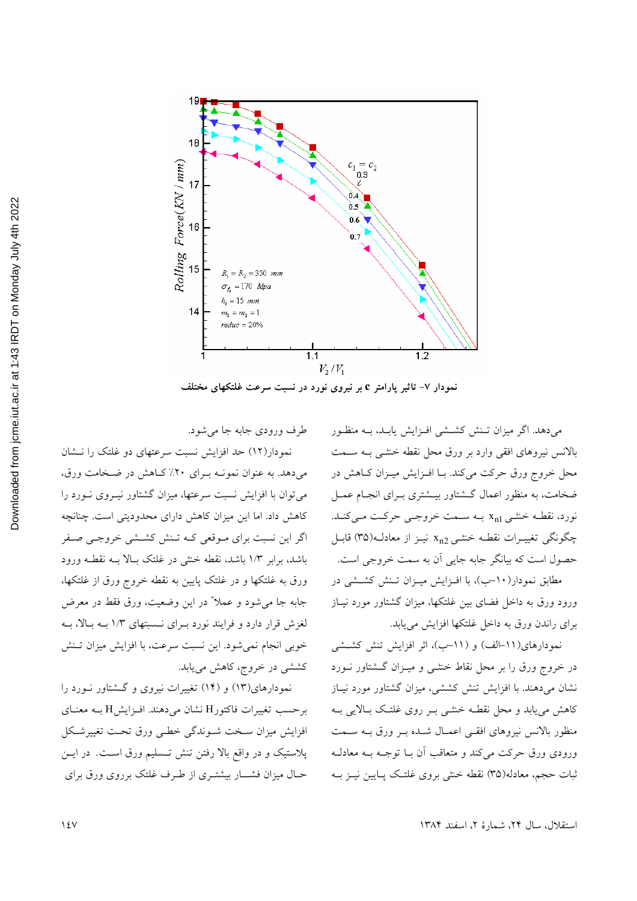

نمودار ۷- تاثیر پارامتر c بر نیروی نورد در نسبت سرعت غلتکهای مختلف

میدهد. اگر میزان تـنش کشـشی افـزایش یابـد، بـه منظـور بالانس نیروهای افقی وارد بر ورق محل نقطه خنثـی بـه سـمت محل خروج ورق حركت مي كند. بـا افـزايش ميـزان كـاهش در ضخامت، به منظور اعمال گــشتاور بيــشتري بــراي انجــام عمــل نورد، نقطه خنثى x<sub>n1</sub> به سمت خروجى حركت مى كنـد. چگونگی تغییـرات نقطـه خنثـی x<sub>n2</sub> نیـز از معادلـه(٣٥) قابـل حصول است که بیانگر جابه جایی اَن به سمت خروجی است.

مطابق نمودار(۱۰–ب)، با افـزایش میـزان تـنش کشـشی در ورود ورق به داخل فضای بین غلتکها، میزان گشتاور مورد نیـاز برای راندن ورق به داخل غلتکها افزایش مییابد.

نمودارهای(١١-الف) و (١١-ب)، اثر افزایش تنش كششى در خروج ورق را بر محل نقاط خنثـی و میـزان گـشتاور نــورد نشان میدهند. با افزایش تنش کششی، میزان گشتاور مورد نیـاز کاهش می پابد و محل نقطـه خنثـبی بـر روی غلتـک بـالایی بـه منظور بالانس نیروهای افقے اعمیال شده بے ورق بـه سـمت ورودي ورق حركت مي كند و متعاقب أن بـا توجـه بـه معادلـه ثبات حجم، معادله(۳۵) نقطه خنثی بروی غلتـک پـایین نیـز بــه

طرف ورودي جابه جا مي شود.

نمودار(١٢) حد افزايش نسبت سرعتهاى دو غلتك را نـشان میدهد. به عنوان نمونـه بـرای ٢٠٪ كـاهش در ضـخامت ورق، می توان با افزایش نسبت سرعتها، میزان گشتاور نیـروی نـورد را کاهش داد. اما این میزان کاهش دارای محدودیتی است. چنانچه اگر این نسبت برای مـوقعی کـه تـنش کشـشی خروجـی صـفر باشد، برابر ١/٣ باشد، نقطه خنثى در غلتك بالا بـه نقطـه ورود ورق به غلتکها و در غلتک پایین به نقطه خروج ورق از غلتکها، جابه جا مي شود و عملاً" در اين وضعيت، ورق فقط در معرض لغزش قرار دارد و فرایند نورد به ای نسبتهای ۱/۳ بـه بالا، بـه خوبی انجام نمیشود. این نسبت سرعت، با افزایش میزان تـنش کششی در خروج، کاهش می یابد.

نمودارهای(۱۳) و (۱۴) تغییرات نیروی و گشتاور نورد را برحسب تغییرات فاکتورH نشان می دهند. افـزایشH بـه معنـای افزایش میزان سبخت شبوندگی خطبی ورق تحت تغییرشکل پلاستیک و در واقع بالا رفتن تنش تـسلیم ورق اسـت. در ایـن حـال میزان فشـــار بیشتــری از طــرف غلتک برروی ورق برای

استقلال، سال ٢۴، شمارهٔ ٢، اسفند ١٣٨۴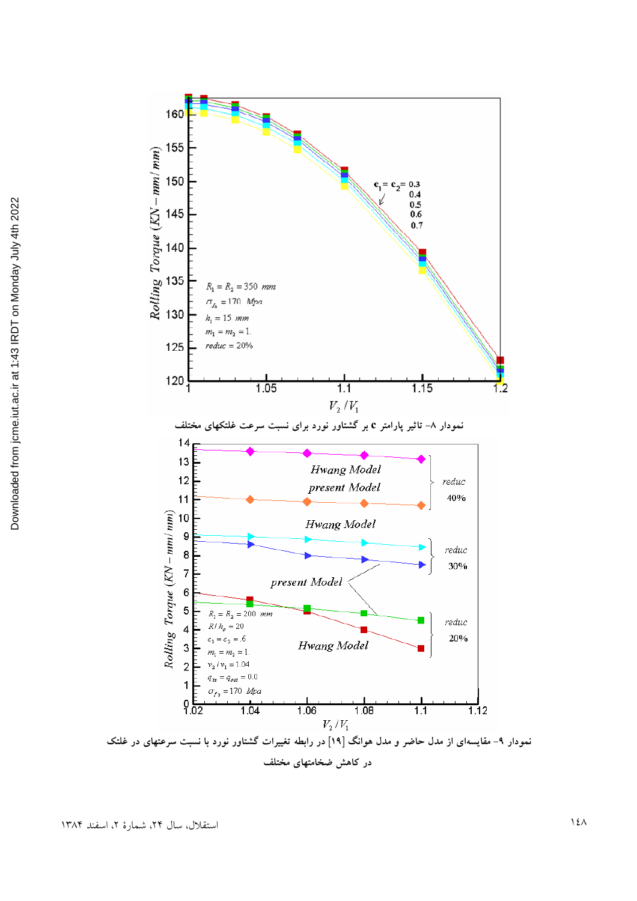

نمودار ۹– مقایسهای از مدل حاضر و مدل هوانگ [۱۹] در رابطه تغییرات گشتاور نورد با نسبت سرعتهای در غلتک در کاهش ضخامتهای مختلف

قلال، سال ۲۴، شمارهٔ ۲، اسفند ۱۳۸۴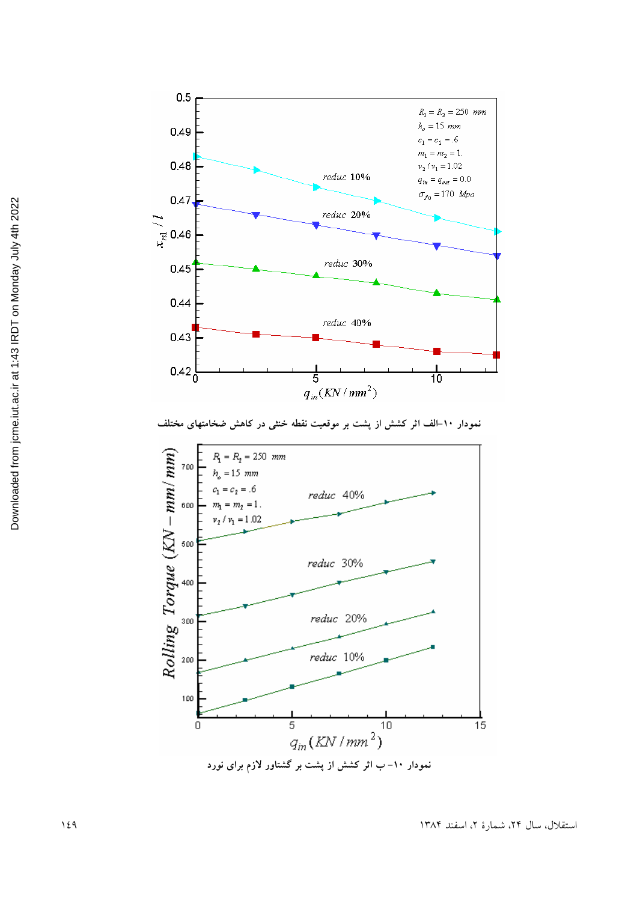

نمودار ۱۰-الف اثر کشش از پشت بر موقعیت نقطه خنثی در کاهش ضخامتهای مختلف

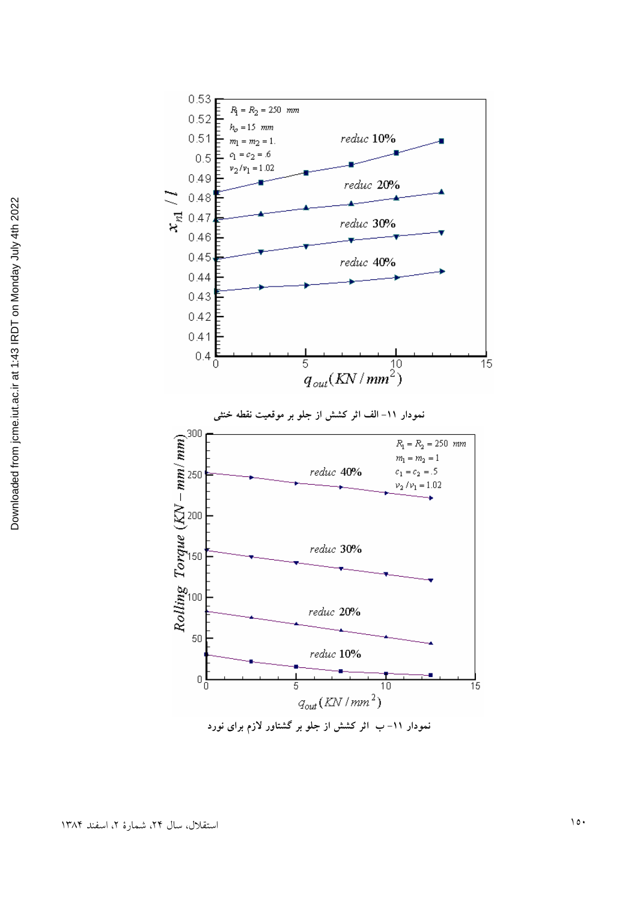

.<br>نمودار ۱۱– ب اثر کشش از جلو بر گشتاور لازم برای نورد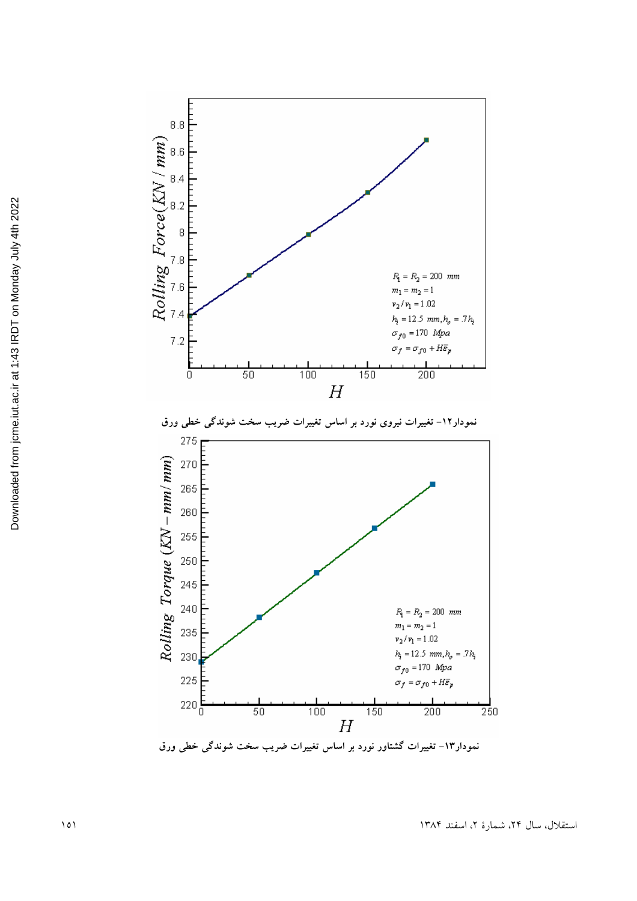

استقلال، سال ۲۴، شمارهٔ ۲، اسفند ۱۳۸۴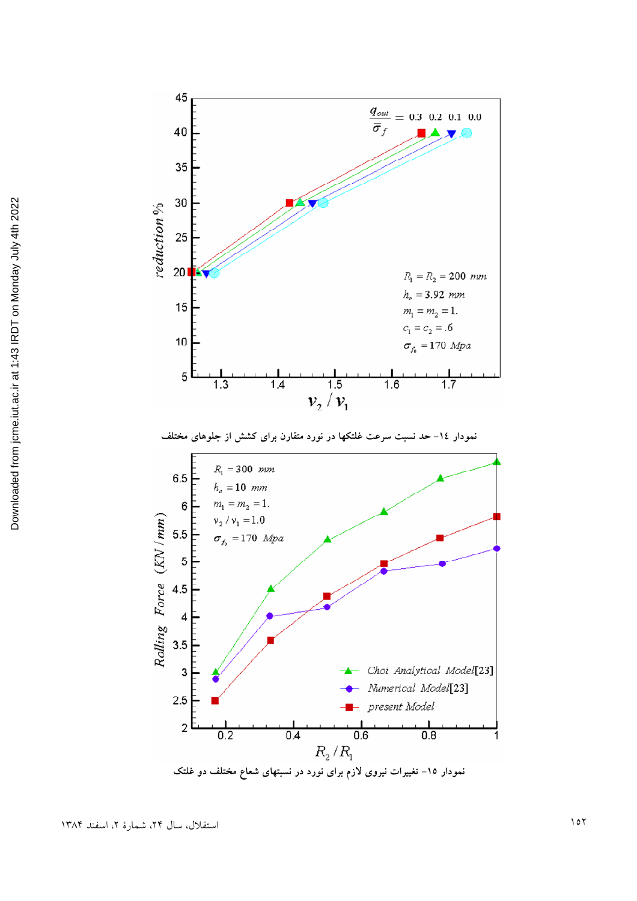

نمودار ۱۵– تغییرات نیروی لازم برای نورد در نسبتهای شعاع مختلف دو غلتک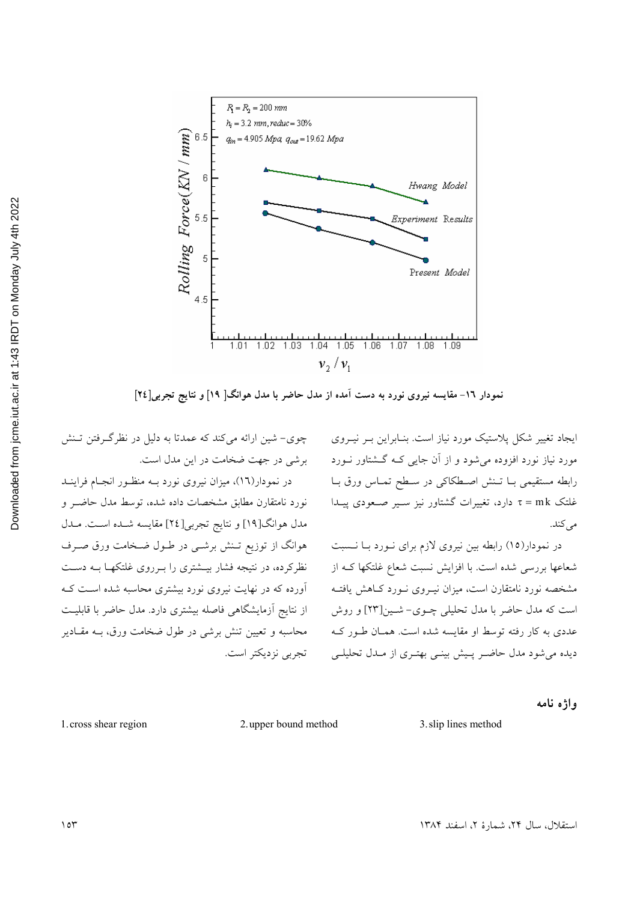

نمودار ١٦- مقایسه نیروی نورد به دست آمده از مدل حاضر با مدل هوانگ[ ١٩] و نتایج تجربی[٢٤]

چوی- شین ارائه می کند که عمدتا به دلیل در نظرگرفتن تـنش برشی در جهت ضخامت در این مدل است. در نمودار(١٦)، میزان نیروی نورد بـه منظـور انجـام فراینـد نورد نامتقارن مطابق مشخصات داده شده، توسط مدل حاضـر و مدل هوانگ[۱۹] و نتايج تجربي[۲٤] مقايسه شـده اسـت. مـدل هوانگ از توزیع تـنش برشـی در طـول ضـخامت ورق صـرف نظرکرده، در نتیجه فشار بیـشتری را بـرووی غلتکهـا بـه دسـت آورده که در نهایت نیروی نورد بیشتری محاسبه شده است ک از نتايج آزمايشگاهي فاصله بيشتري دارد. مدل حاضر با قابليت محاسبه و تعیین تنش برشی در طول ضخامت ورق، بـه مقـادیر تجربي نزديكتر است.

ایجاد تغییر شکل پلاستیک مورد نیاز است. بنـابراین بـر نیـروی مورد نیاز نورد افزوده میشود و از آن جایی کـه گـشتاور نــورد رابطه مستقيمي بــا تــنش اصــطكاكي در ســطح تمــاس ورق بــا غلتک τ = mk دارد، تغییرات گشتاور نیز سـیر صـعودی پیـدا مې کند.

در نمودار(١٥) رابطه بين نيروي لازم براي نـورد بـا نـسبت شعاعها بررسی شده است. با افزایش نسبت شعاع غلتکها کـه از مشخصه نورد نامتقارن است، میزان نیـروی نــورد کــاهش یافتــه است که مدل حاضر با مدل تحلیلی چـوی- شـین[۲۳] و روش عددی به کار رفته توسط او مقایسه شده است. همـان طـور کـه دیده می شود مدل حاضر پیش بینمی بهتری از مدل تحلیلی

واژه نامه

3. slip lines method

2. upper bound method

1. cross shear region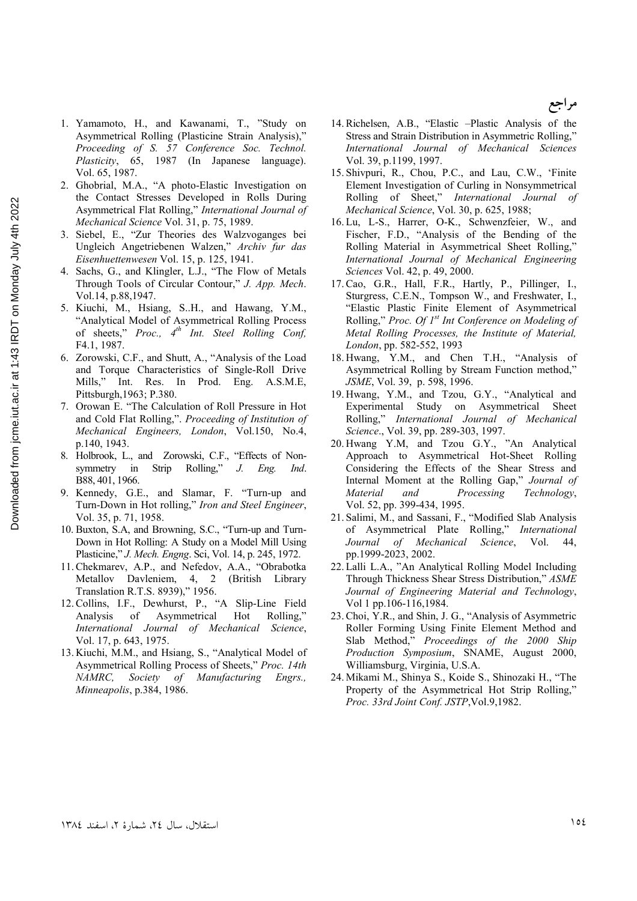- 1. Yamamoto, H., and Kawanami, T., "Study on Asymmetrical Rolling (Plasticine Strain Analysis)," Proceeding of S. 57 Conference Soc. Technol. Plasticity, 65, 1987 (In Japanese language). Vol. 65, 1987.
- 2. Ghobrial, M.A., "A photo-Elastic Investigation on the Contact Stresses Developed in Rolls During Asymmetrical Flat Rolling," International Journal of Mechanical Science Vol. 31, p. 75, 1989.
- 3. Siebel, E., "Zur Theories des Walzvoganges bei Ungleich Angetriebenen Walzen," Archiv fur das Eisenhuettenwesen Vol. 15, p. 125, 1941.
- 4. Sachs, G., and Klingler, L.J., "The Flow of Metals Through Tools of Circular Contour," J. App. Mech. Vol.14, p.88,1947.
- 5. Kiuchi, M., Hsiang, S.H., and Hawang, Y.M., "Analytical Model of Asymmetrical Rolling Process of sheets," Proc.,  $4^{th}$  Int. Steel Rolling Conf. F4.1, 1987.
- 6. Zorowski, C.F., and Shutt, A., "Analysis of the Load and Torque Characteristics of Single-Roll Drive Mills," Int. Res. In Prod. Eng. A.S.M.E. Pittsburgh, 1963; P.380.
- 7. Orowan E. "The Calculation of Roll Pressure in Hot and Cold Flat Rolling,". Proceeding of Institution of Mechanical Engineers, London, Vol.150, No.4, p.140, 1943.
- 8. Holbrook, L., and Zorowski, C.F., "Effects of Nonsymmetry in Strip Rolling,"  $J.$  Eng. Ind B88, 401, 1966.
- 9. Kennedy, G.E., and Slamar, F. "Turn-up and Turn-Down in Hot rolling," Iron and Steel Engineer, Vol. 35, p. 71, 1958.
- 10. Buxton, S.A, and Browning, S.C., "Turn-up and Turn-Down in Hot Rolling: A Study on a Model Mill Using Plasticine," J. Mech. Engng. Sci, Vol. 14, p. 245, 1972.
- 11. Chekmarev, A.P., and Nefedov, A.A., "Obrabotka Metallov Davleniem, 4, 2 (British Library Translation R.T.S. 8939)," 1956.
- 12. Collins, I.F., Dewhurst, P., "A Slip-Line Field <sub>of</sub> Asymmetrical Analysis Hot Rolling." International Journal of Mechanical Science, Vol. 17, p. 643, 1975.
- 13. Kiuchi, M.M., and Hsiang, S., "Analytical Model of Asymmetrical Rolling Process of Sheets," Proc. 14th NAMRC, Society of Manufacturing Engrs., Minneapolis, p.384, 1986.
- 14. Richelsen, A.B., "Elastic -Plastic Analysis of the Stress and Strain Distribution in Asymmetric Rolling." International Journal of Mechanical Sciences Vol. 39, p.1199, 1997.
- 15. Shivpuri, R., Chou, P.C., and Lau, C.W., 'Finite Element Investigation of Curling in Nonsymmetrical Rolling of Sheet," International Journal of Mechanical Science, Vol. 30, p. 625, 1988;
- 16. Lu, L-S., Harrer, O-K., Schwenzfeier, W., and Fischer, F.D., "Analysis of the Bending of the Rolling Material in Asymmetrical Sheet Rolling," International Journal of Mechanical Engineering Sciences Vol. 42, p. 49, 2000.
- 17. Cao, G.R., Hall, F.R., Hartly, P., Pillinger, I., Sturgress, C.E.N., Tompson W., and Freshwater, I., "Elastic Plastic Finite Element of Asymmetrical Rolling," Proc. Of  $I^{st}$  Int Conference on Modeling of Metal Rolling Processes, the Institute of Material, London, pp. 582-552, 1993
- 18. Hwang, Y.M., and Chen T.H., "Analysis of Asymmetrical Rolling by Stream Function method," JSME, Vol. 39, p. 598, 1996.
- 19. Hwang, Y.M., and Tzou, G.Y., "Analytical and Experimental Study on Asymmetrical Sheet Rolling," International Journal of Mechanical<br>Science., Vol. 39, pp. 289-303, 1997.
- 20. Hwang Y.M, and Tzou G.Y., "An Analytical Approach to Asymmetrical Hot-Sheet Rolling Considering the Effects of the Shear Stress and Internal Moment at the Rolling Gap," Journal of Material and Processing Technology, Vol. 52, pp. 399-434, 1995.
- 21. Salimi, M., and Sassani, F., "Modified Slab Analysis of Asymmetrical Plate Rolling," International Journal of Mechanical Science, Vol. 44, pp.1999-2023, 2002.
- 22. Lalli L.A., "An Analytical Rolling Model Including Through Thickness Shear Stress Distribution," ASME Journal of Engineering Material and Technology, Vol 1 pp.106-116,1984.
- 23. Choi, Y.R., and Shin, J. G., "Analysis of Asymmetric Roller Forming Using Finite Element Method and Slab Method," Proceedings of the 2000 Ship Production Symposium, SNAME, August 2000, Williamsburg, Virginia, U.S.A.
- 24. Mikami M., Shinya S., Koide S., Shinozaki H., "The Property of the Asymmetrical Hot Strip Rolling," Proc. 33rd Joint Conf. JSTP, Vol.9, 1982.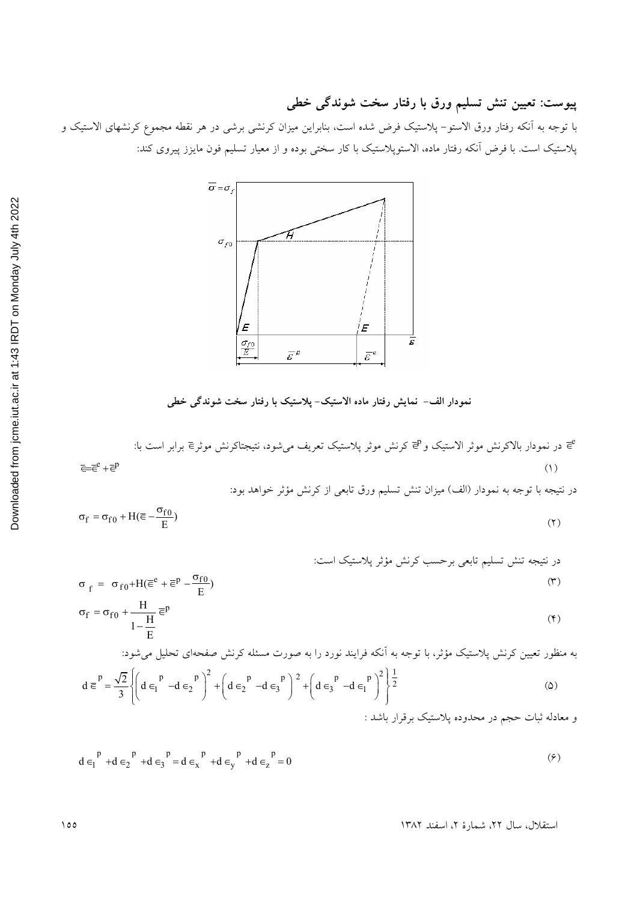پیوست: تعیین تنش تسلیم ورق با رفتار سخت شوندگی خطی

با توجه به آنکه رفتار ورق الاستو– پلاستیک فرض شده است، بنابراین میزان کرنشی برشی در هر نقطه مجموع کرنشهای الاستیک و پلاستیک است. با فرض آنکه رفتار ماده، الاستوپلاستیک با کار سختی بوده و از معیار تسلیم فون مایزز پیروی کند:



نمودار الف– نمایش رفتار ماده الاستیک- پلاستیک با رفتار سخت شوندگی خطی

در نتيجه با توجه به نمودار (الف) ميزان تنش تسليم ورق تابعي از كرنش مؤثر خواهد بود:

$$
\sigma_f = \sigma_{f0} + H(\overline{\epsilon} - \frac{\sigma_{f0}}{E})
$$
\n<sup>(7)</sup>

د رنتیجه تنش تسلیم تابعی برحسب کرنش مؤثر پلاستیک است:  
\n
$$
\sigma_f = \sigma_{f0} + H(\overline{\epsilon}^e + \overline{\epsilon}^p - \frac{\sigma_{f0}}{E})
$$
\n
$$
(5.45 - 5.5) = 5.5
$$
\n
$$
H = 5.5
$$

$$
\sigma_f = \sigma_{f0} + \frac{H}{1 - \frac{H}{E}} \overline{\epsilon}^p
$$
 (5)

به منظور تعیین کرنش پلاستیک مؤثر، با توجه به آنکه فرایند نورد را به صورت مسئله کرنش صفحهای تحلیل میشود:

$$
d \equiv \frac{p}{3} \left\{ \left( d \in \begin{bmatrix} p & -d \in \begin{bmatrix} p \\ 2 \end{bmatrix}^2 + \left( d \in \begin{bmatrix} p & -d \in \begin{bmatrix} p \\ 3 \end{bmatrix}^2 + \left( d \in \begin{bmatrix} p & -d \in \begin{bmatrix} p \\ 3 \end{bmatrix}^2 + \left( d \in \begin{bmatrix} p & -d \in \begin{bmatrix} p \\ 1 \end{bmatrix}^2 \right) \right)^2 \right) \right\} \right\} \tag{2}
$$

 $d \in \left[ \begin{array}{cc} p \\ +d \in \left[ \begin{array}{c} p \\ 2 \end{array} \right] + d \in \left[ \begin{array}{c} p \\ 3 \end{array} \right] = d \in \left[ \begin{array}{cc} p \\ x \end{array} \right] + d \in \left[ \begin{array}{cc} p \\ y \end{array} \right] + d \in \left[ \begin{array}{c} p \\ z \end{array} \right] = 0$  $(5)$ 

استقلال، سال ٢٢، شمارة ٢، اسفند ١٣٨٢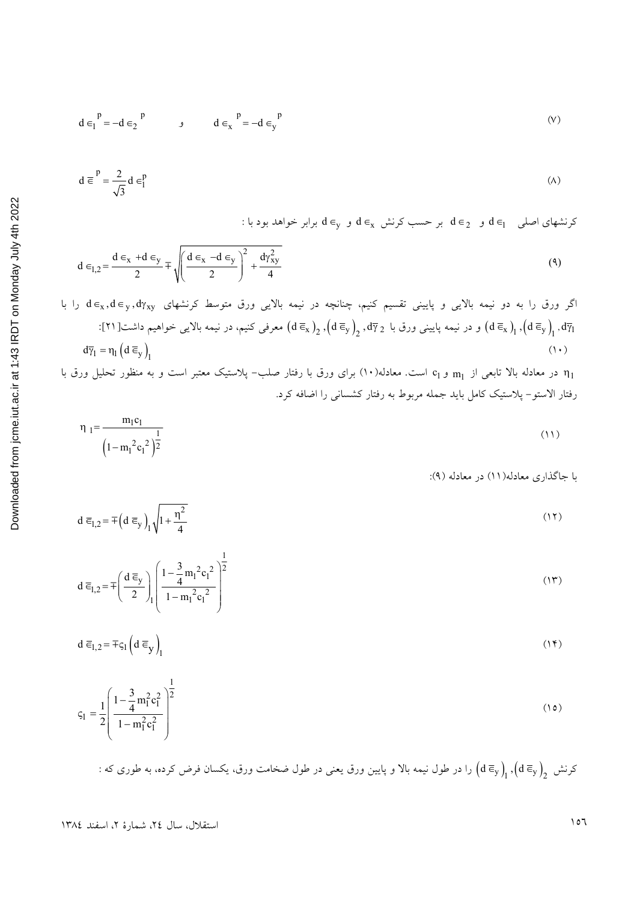$$
d \in I^p = -d \in \mathbf{2}^p \qquad \qquad \mathbf{d} \in \mathbf{X}^p = -d \in \mathbf{y}^p \tag{V}
$$

$$
d \equiv \frac{P}{\sqrt{3}} d \in \frac{P}{1}
$$
 (A)

: کرنشهای اصلی  $\epsilon_1$  و  $\epsilon_2$  بر حسب کرنش  $\epsilon_x$  و  $\epsilon_y$  بر ابر خواهد بود با

$$
d \in I_{,2} = \frac{d \in x + d \in y}{2} \mp \sqrt{\left(\frac{d \in x - d \in y}{2}\right)^2 + \frac{d\gamma_{xy}^2}{4}}
$$
\n
$$
\tag{4}
$$

گر ورق را به دو نیمه بالایی و پایینی تقسیم کنیم، چنانچه در نیمه بالایی ورق متوسط کرنشهای 
$$
d \in_x, d \in_y, d\gamma_{xy}
$$
 ا با یا یو یا ی $\infty$  چنانچه در نیمه بالایی فرواهیم داشت[11]: $\int_{\overline{q}_1} d\overline{q}_1$  (d $\overline{e}_y$ ),  $\left(d\overline{e}_x\right)_2$ ,  $\left(d\overline{e}_y\right)_2$ ,  $d\overline{\gamma}_2$  ور نیمه پایینی ورق با ی $\frac{1}{2}$ 

در معادله بالا تابعی از  $_{\rm m_1}$  و c $_{\rm l}$  است. معادله(۱۰) برای ورق با رفتار صلب– پلاستیک معتبر است و به منظور تحلیل ورق با  $_{\rm l_1}$ رفتار الاستو– پلاستیک کامل باید جمله مربوط به رفتار کشسانی را اضافه کرد.

$$
\eta_1 = \frac{m_1 c_1}{\left(1 - m_1^2 c_1^2\right)^{\frac{1}{2}}} \tag{11}
$$

با جاگذاری معادله(١١) در معادله (٩):

$$
d \overline{\epsilon}_{1,2} = \pm \left( d \overline{\epsilon}_y \right)_1 \sqrt{1 + \frac{\eta^2}{4}} \tag{17}
$$

$$
d \overline{\epsilon}_{1,2} = \pm \left( \frac{d \overline{\epsilon}_y}{2} \right)_{1} \left( \frac{1 - \frac{3}{4} m_1^2 c_1^2}{1 - m_1^2 c_1^2} \right)^{\frac{1}{2}}
$$
(17)

$$
d \overline{\epsilon}_{1,2} = \pm \varsigma_1 \left( d \overline{\epsilon}_y \right)_1 \tag{14}
$$

$$
\varsigma_1 = \frac{1}{2} \left( \frac{1 - \frac{3}{4} m_1^2 c_1^2}{1 - m_1^2 c_1^2} \right)^{\frac{1}{2}}
$$
(10)

: کرنش  $\big(\mathrm{d}\, \overline{\epsilon}_{\mathrm{y}}\big)_\!\!\big)_\!\!\!$  برا در طول نیمه بالا و پایین ورق یعنی در طول ضخامت ورق، یکسان فرض کرده، به طوری که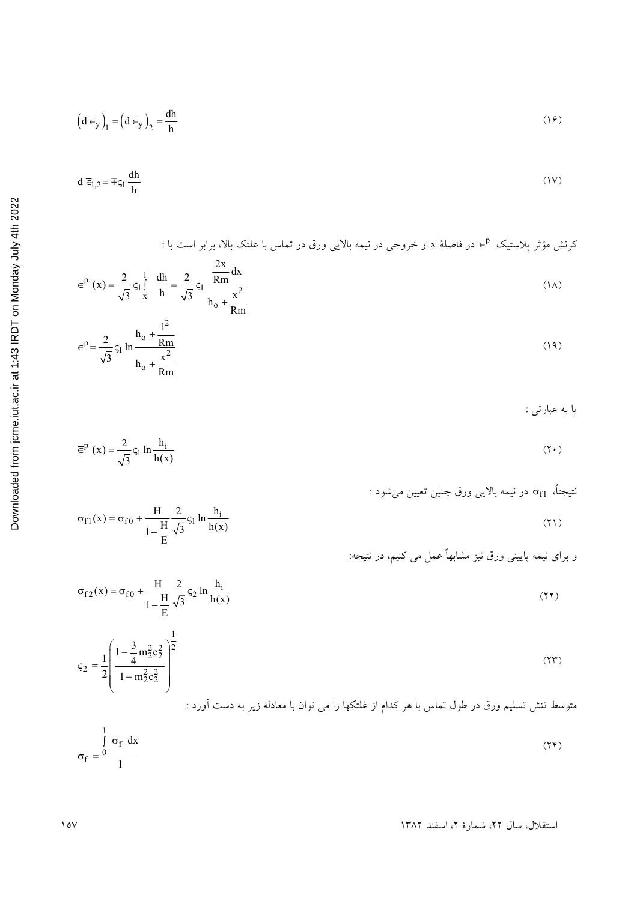$$
\left(d\ \overline{\epsilon}_y\right)_l = \left(d\ \overline{\epsilon}_y\right)_2 = \frac{dh}{h} \tag{19}
$$

$$
d \overline{\epsilon}_{1,2} = \overline{\tau} \varsigma_1 \frac{dh}{h} \tag{1V}
$$

کرنش مؤثر پلاستیک Ē<sup>p</sup> در فاصلهٔ x از خروجی در نیمه بالایی ورق در تماس با غلتک بالا، برابر است با :

$$
\overline{\epsilon}^{p}(x) = \frac{2}{\sqrt{3}} \zeta_{1} \int_{x}^{1} \frac{dh}{h} = \frac{2}{\sqrt{3}} \zeta_{1} \frac{\frac{2x}{Rm} dx}{h_{0} + \frac{x^{2}}{Rm}}
$$
 (1A)

$$
\overline{\epsilon}^{p} = \frac{2}{\sqrt{3}} \varsigma_{1} \ln \frac{h_{o} + \frac{l^{2}}{Rm}}{h_{o} + \frac{x^{2}}{Rm}}
$$
 (14)

يا به عبارتي :

$$
\overline{\epsilon}^p(x) = \frac{2}{\sqrt{3}} \varsigma_1 \ln \frac{h_i}{h(x)}
$$
 (7.1)

$$
(\uparrow\uparrow)
$$

و برای نیمه پایینی ورق نیز مشابهاً عمل می کنیم، در نتیجه:

$$
\sigma_{f2}(x) = \sigma_{f0} + \frac{H}{1 - \frac{H}{E}} \frac{2}{\sqrt{3}} \varsigma_2 \ln \frac{h_i}{h(x)}
$$
\n(17)

$$
\varsigma_2 = \frac{1}{2} \left( \frac{1 - \frac{3}{4} m_2^2 c_2^2}{1 - m_2^2 c_2^2} \right)^2
$$
 (17)

$$
\overline{\sigma}_{f} = \frac{\int_{0}^{1} \sigma_{f} dx}{1}
$$
 (17)

استقلال، سال ٢٢، شمارة ٢، اسفند ١٣٨٢

 $\sigma_{f1}(x) = \sigma_{f0} + \frac{H}{1 - \frac{H}{E}} \frac{2}{\sqrt{3}} \varsigma_1 \ln \frac{h_i}{h(x)}$